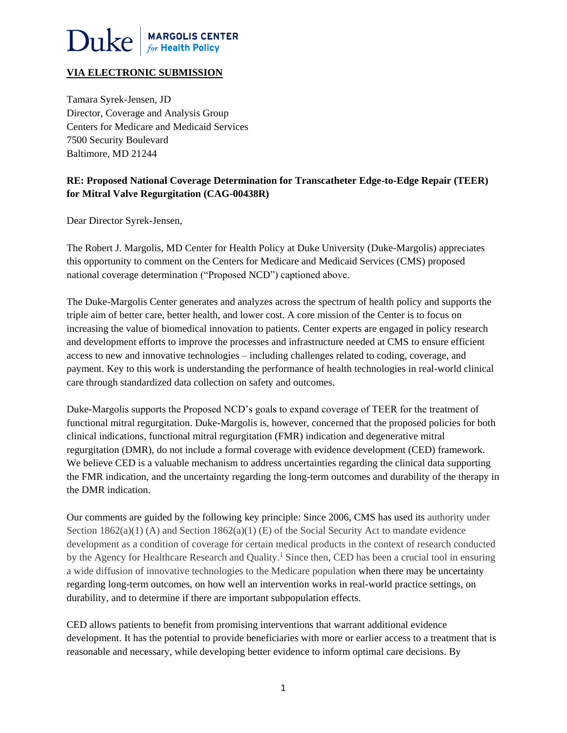

# **VIA ELECTRONIC SUBMISSION**

Tamara Syrek-Jensen, JD Director, Coverage and Analysis Group Centers for Medicare and Medicaid Services 7500 Security Boulevard Baltimore, MD 21244

# **RE: Proposed National Coverage Determination for Transcatheter Edge-to-Edge Repair (TEER) for Mitral Valve Regurgitation (CAG-00438R)**

Dear Director Syrek-Jensen,

The Robert J. Margolis, MD Center for Health Policy at Duke University (Duke-Margolis) appreciates this opportunity to comment on the Centers for Medicare and Medicaid Services (CMS) proposed national coverage determination ("Proposed NCD") captioned above.

The Duke-Margolis Center generates and analyzes across the spectrum of health policy and supports the triple aim of better care, better health, and lower cost. A core mission of the Center is to focus on increasing the value of biomedical innovation to patients. Center experts are engaged in policy research and development efforts to improve the processes and infrastructure needed at CMS to ensure efficient access to new and innovative technologies – including challenges related to coding, coverage, and payment. Key to this work is understanding the performance of health technologies in real-world clinical care through standardized data collection on safety and outcomes.

Duke-Margolis supports the Proposed NCD's goals to expand coverage of TEER for the treatment of functional mitral regurgitation. Duke-Margolis is, however, concerned that the proposed policies for both clinical indications, functional mitral regurgitation (FMR) indication and degenerative mitral regurgitation (DMR), do not include a formal coverage with evidence development (CED) framework. We believe CED is a valuable mechanism to address uncertainties regarding the clinical data supporting the FMR indication, and the uncertainty regarding the long-term outcomes and durability of the therapy in the DMR indication.

Our comments are guided by the following key principle: Since 2006, CMS has used its authority under Section  $1862(a)(1)$  (A) and Section  $1862(a)(1)$  (E) of the Social Security Act to mandate evidence development as a condition of coverage for certain medical products in the context of research conducted by the Agency for Healthcare Research and Quality.<sup>1</sup> Since then, CED has been a crucial tool in ensuring a wide diffusion of innovative technologies to the Medicare population when there may be uncertainty regarding long-term outcomes, on how well an intervention works in real-world practice settings, on durability, and to determine if there are important subpopulation effects.

CED allows patients to benefit from promising interventions that warrant additional evidence development. It has the potential to provide beneficiaries with more or earlier access to a treatment that is reasonable and necessary, while developing better evidence to inform optimal care decisions. By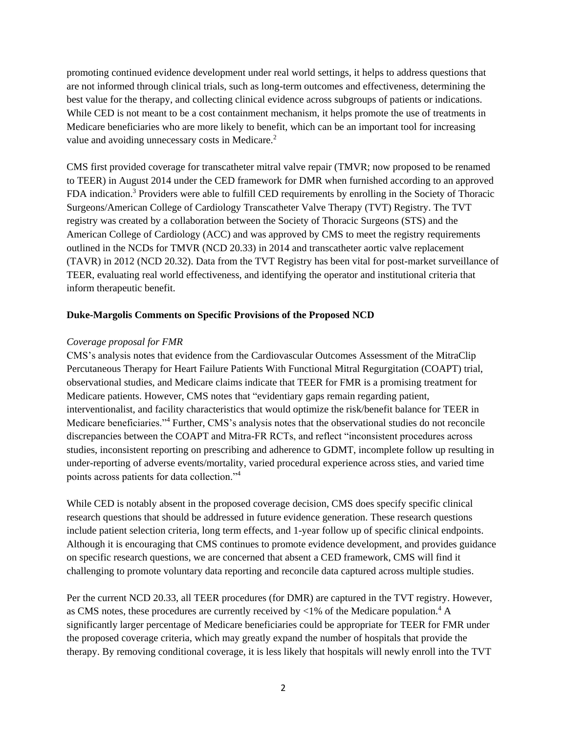promoting continued evidence development under real world settings, it helps to address questions that are not informed through clinical trials, such as long-term outcomes and effectiveness, determining the best value for the therapy, and collecting clinical evidence across subgroups of patients or indications. While CED is not meant to be a cost containment mechanism, it helps promote the use of treatments in Medicare beneficiaries who are more likely to benefit, which can be an important tool for increasing value and avoiding unnecessary costs in Medicare.<sup>2</sup>

CMS first provided coverage for transcatheter mitral valve repair (TMVR; now proposed to be renamed to TEER) in August 2014 under the CED framework for DMR when furnished according to an approved FDA indication.<sup>3</sup> Providers were able to fulfill CED requirements by enrolling in the Society of Thoracic Surgeons/American College of Cardiology Transcatheter Valve Therapy (TVT) Registry. The TVT registry was created by a collaboration between the Society of Thoracic Surgeons (STS) and the American College of Cardiology (ACC) and was approved by CMS to meet the registry requirements outlined in the NCDs for TMVR (NCD 20.33) in 2014 and transcatheter aortic valve replacement (TAVR) in 2012 (NCD 20.32). Data from the TVT Registry has been vital for post-market surveillance of TEER, evaluating real world effectiveness, and identifying the operator and institutional criteria that inform therapeutic benefit.

## **Duke-Margolis Comments on Specific Provisions of the Proposed NCD**

#### *Coverage proposal for FMR*

CMS's analysis notes that evidence from the Cardiovascular Outcomes Assessment of the MitraClip Percutaneous Therapy for Heart Failure Patients With Functional Mitral Regurgitation (COAPT) trial, observational studies, and Medicare claims indicate that TEER for FMR is a promising treatment for Medicare patients. However, CMS notes that "evidentiary gaps remain regarding patient, interventionalist, and facility characteristics that would optimize the risk/benefit balance for TEER in Medicare beneficiaries."<sup>4</sup> Further, CMS's analysis notes that the observational studies do not reconcile discrepancies between the COAPT and Mitra-FR RCTs, and reflect "inconsistent procedures across studies, inconsistent reporting on prescribing and adherence to GDMT, incomplete follow up resulting in under-reporting of adverse events/mortality, varied procedural experience across sties, and varied time points across patients for data collection."<sup>4</sup>

While CED is notably absent in the proposed coverage decision, CMS does specify specific clinical research questions that should be addressed in future evidence generation. These research questions include patient selection criteria, long term effects, and 1-year follow up of specific clinical endpoints. Although it is encouraging that CMS continues to promote evidence development, and provides guidance on specific research questions, we are concerned that absent a CED framework, CMS will find it challenging to promote voluntary data reporting and reconcile data captured across multiple studies.

Per the current NCD 20.33, all TEER procedures (for DMR) are captured in the TVT registry. However, as CMS notes, these procedures are currently received by <1% of the Medicare population.<sup>4</sup> A significantly larger percentage of Medicare beneficiaries could be appropriate for TEER for FMR under the proposed coverage criteria, which may greatly expand the number of hospitals that provide the therapy. By removing conditional coverage, it is less likely that hospitals will newly enroll into the TVT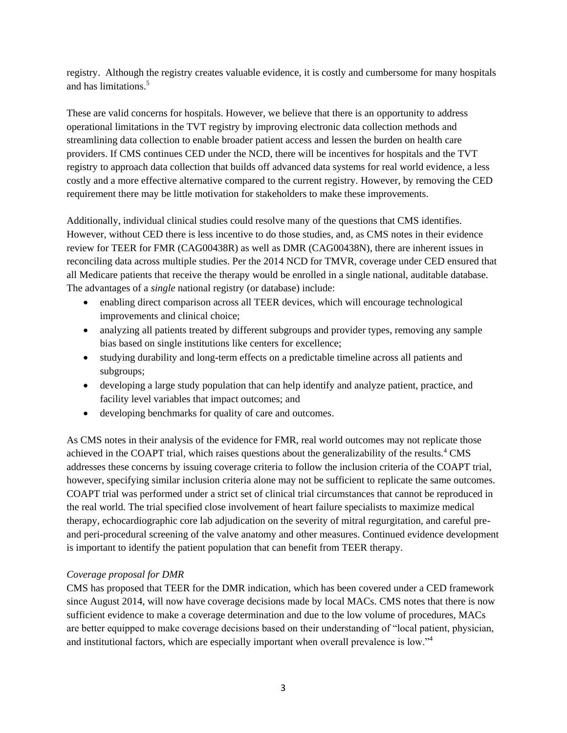registry. Although the registry creates valuable evidence, it is costly and cumbersome for many hospitals and has limitations. 5

These are valid concerns for hospitals. However, we believe that there is an opportunity to address operational limitations in the TVT registry by improving electronic data collection methods and streamlining data collection to enable broader patient access and lessen the burden on health care providers. If CMS continues CED under the NCD, there will be incentives for hospitals and the TVT registry to approach data collection that builds off advanced data systems for real world evidence, a less costly and a more effective alternative compared to the current registry. However, by removing the CED requirement there may be little motivation for stakeholders to make these improvements.

Additionally, individual clinical studies could resolve many of the questions that CMS identifies. However, without CED there is less incentive to do those studies, and, as CMS notes in their evidence review for TEER for FMR (CAG00438R) as well as DMR (CAG00438N), there are inherent issues in reconciling data across multiple studies. Per the 2014 NCD for TMVR, coverage under CED ensured that all Medicare patients that receive the therapy would be enrolled in a single national, auditable database. The advantages of a *single* national registry (or database) include:

- enabling direct comparison across all TEER devices, which will encourage technological improvements and clinical choice;
- analyzing all patients treated by different subgroups and provider types, removing any sample bias based on single institutions like centers for excellence;
- studying durability and long-term effects on a predictable timeline across all patients and subgroups;
- developing a large study population that can help identify and analyze patient, practice, and facility level variables that impact outcomes; and
- developing benchmarks for quality of care and outcomes.

As CMS notes in their analysis of the evidence for FMR, real world outcomes may not replicate those achieved in the COAPT trial, which raises questions about the generalizability of the results.<sup>4</sup> CMS addresses these concerns by issuing coverage criteria to follow the inclusion criteria of the COAPT trial, however, specifying similar inclusion criteria alone may not be sufficient to replicate the same outcomes. COAPT trial was performed under a strict set of clinical trial circumstances that cannot be reproduced in the real world. The trial specified close involvement of heart failure specialists to maximize medical therapy, echocardiographic core lab adjudication on the severity of mitral regurgitation, and careful preand peri-procedural screening of the valve anatomy and other measures. Continued evidence development is important to identify the patient population that can benefit from TEER therapy.

## *Coverage proposal for DMR*

CMS has proposed that TEER for the DMR indication, which has been covered under a CED framework since August 2014, will now have coverage decisions made by local MACs. CMS notes that there is now sufficient evidence to make a coverage determination and due to the low volume of procedures, MACs are better equipped to make coverage decisions based on their understanding of "local patient, physician, and institutional factors, which are especially important when overall prevalence is low."<sup>4</sup>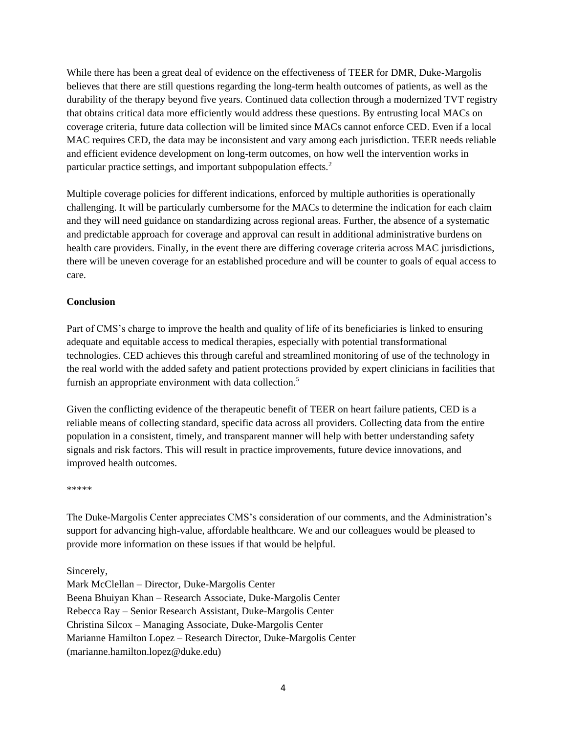While there has been a great deal of evidence on the effectiveness of TEER for DMR, Duke-Margolis believes that there are still questions regarding the long-term health outcomes of patients, as well as the durability of the therapy beyond five years. Continued data collection through a modernized TVT registry that obtains critical data more efficiently would address these questions. By entrusting local MACs on coverage criteria, future data collection will be limited since MACs cannot enforce CED. Even if a local MAC requires CED, the data may be inconsistent and vary among each jurisdiction. TEER needs reliable and efficient evidence development on long-term outcomes, on how well the intervention works in particular practice settings, and important subpopulation effects.<sup>2</sup>

Multiple coverage policies for different indications, enforced by multiple authorities is operationally challenging. It will be particularly cumbersome for the MACs to determine the indication for each claim and they will need guidance on standardizing across regional areas. Further, the absence of a systematic and predictable approach for coverage and approval can result in additional administrative burdens on health care providers. Finally, in the event there are differing coverage criteria across MAC jurisdictions, there will be uneven coverage for an established procedure and will be counter to goals of equal access to care.

## **Conclusion**

Part of CMS's charge to improve the health and quality of life of its beneficiaries is linked to ensuring adequate and equitable access to medical therapies, especially with potential transformational technologies. CED achieves this through careful and streamlined monitoring of use of the technology in the real world with the added safety and patient protections provided by expert clinicians in facilities that furnish an appropriate environment with data collection.<sup>5</sup>

Given the conflicting evidence of the therapeutic benefit of TEER on heart failure patients, CED is a reliable means of collecting standard, specific data across all providers. Collecting data from the entire population in a consistent, timely, and transparent manner will help with better understanding safety signals and risk factors. This will result in practice improvements, future device innovations, and improved health outcomes.

\*\*\*\*\*

The Duke-Margolis Center appreciates CMS's consideration of our comments, and the Administration's support for advancing high-value, affordable healthcare. We and our colleagues would be pleased to provide more information on these issues if that would be helpful.

Sincerely,

Mark McClellan – Director, Duke-Margolis Center Beena Bhuiyan Khan – Research Associate, Duke-Margolis Center Rebecca Ray – Senior Research Assistant, Duke-Margolis Center Christina Silcox – Managing Associate, Duke-Margolis Center Marianne Hamilton Lopez – Research Director, Duke-Margolis Center (marianne.hamilton.lopez@duke.edu)